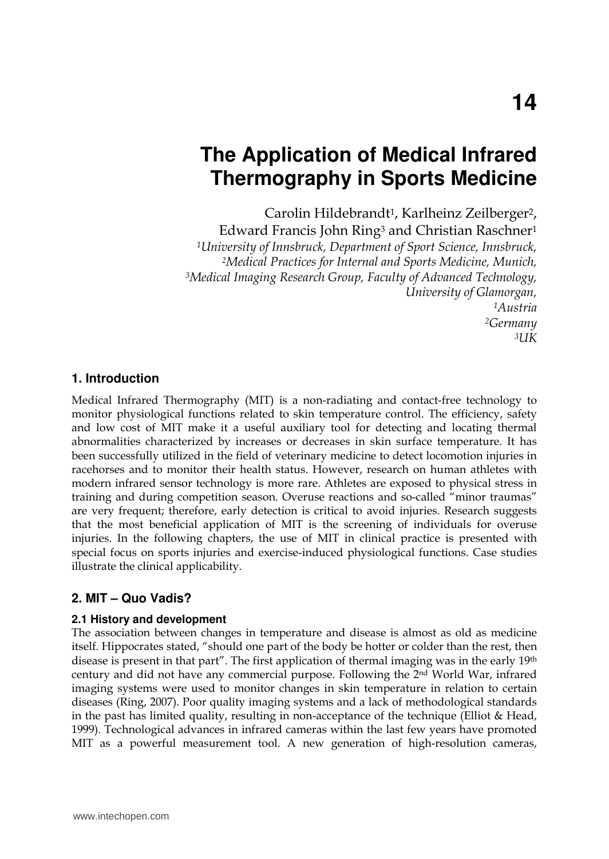# **The Application of Medical Infrared Thermography in Sports Medicine**

Carolin Hildebrandt<sup>1</sup>, Karlheinz Zeilberger<sup>2</sup>,

Edward Francis John Ring<sup>3</sup> and Christian Raschner<sup>1</sup> *<sup>1</sup>University of Innsbruck, Department of Sport Science, Innsbruck, <sup>2</sup>Medical Practices for Internal and Sports Medicine, Munich, <sup>3</sup>Medical Imaging Research Group, Faculty of Advanced Technology, University of Glamorgan, <sup>1</sup>Austria <sup>2</sup>Germany*   $3IJK$ 

#### **1. Introduction**

Medical Infrared Thermography (MIT) is a non-radiating and contact-free technology to monitor physiological functions related to skin temperature control. The efficiency, safety and low cost of MIT make it a useful auxiliary tool for detecting and locating thermal abnormalities characterized by increases or decreases in skin surface temperature. It has been successfully utilized in the field of veterinary medicine to detect locomotion injuries in racehorses and to monitor their health status. However, research on human athletes with modern infrared sensor technology is more rare. Athletes are exposed to physical stress in training and during competition season. Overuse reactions and so-called "minor traumas" are very frequent; therefore, early detection is critical to avoid injuries. Research suggests that the most beneficial application of MIT is the screening of individuals for overuse injuries. In the following chapters, the use of MIT in clinical practice is presented with special focus on sports injuries and exercise-induced physiological functions. Case studies illustrate the clinical applicability.

### **2. MIT – Quo Vadis?**

#### **2.1 History and development**

The association between changes in temperature and disease is almost as old as medicine itself. Hippocrates stated, "should one part of the body be hotter or colder than the rest, then disease is present in that part". The first application of thermal imaging was in the early 19th century and did not have any commercial purpose. Following the 2nd World War, infrared imaging systems were used to monitor changes in skin temperature in relation to certain diseases (Ring, 2007). Poor quality imaging systems and a lack of methodological standards in the past has limited quality, resulting in non-acceptance of the technique (Elliot & Head, 1999). Technological advances in infrared cameras within the last few years have promoted MIT as a powerful measurement tool. A new generation of high-resolution cameras,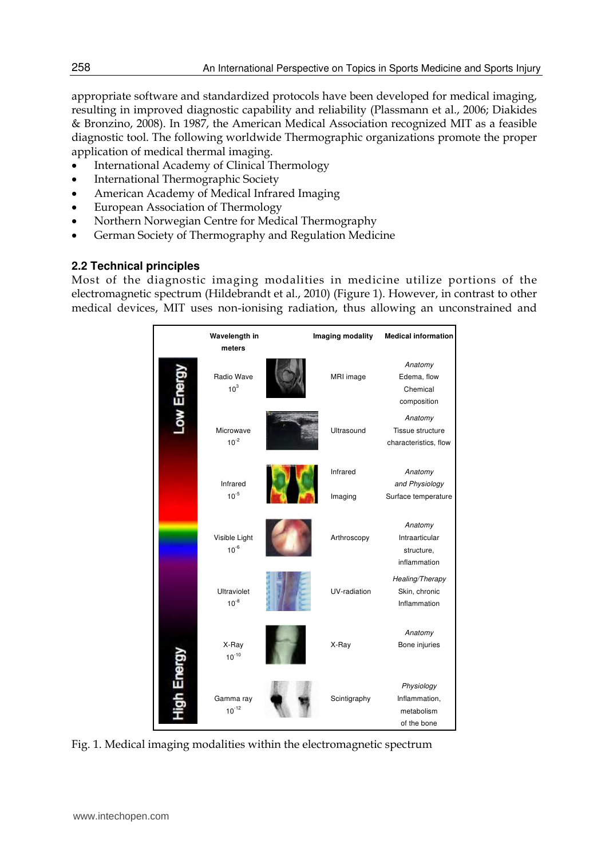appropriate software and standardized protocols have been developed for medical imaging, resulting in improved diagnostic capability and reliability (Plassmann et al., 2006; Diakides & Bronzino, 2008). In 1987, the American Medical Association recognized MIT as a feasible diagnostic tool. The following worldwide Thermographic organizations promote the proper application of medical thermal imaging.

- International Academy of Clinical Thermology
- International Thermographic Society
- American Academy of Medical Infrared Imaging
- European Association of Thermology
- Northern Norwegian Centre for Medical Thermography
- German Society of Thermography and Regulation Medicine

#### **2.2 Technical principles**

Most of the diagnostic imaging modalities in medicine utilize portions of the electromagnetic spectrum (Hildebrandt et al., 2010) (Figure 1). However, in contrast to other medical devices, MIT uses non-ionising radiation, thus allowing an unconstrained and



Fig. 1. Medical imaging modalities within the electromagnetic spectrum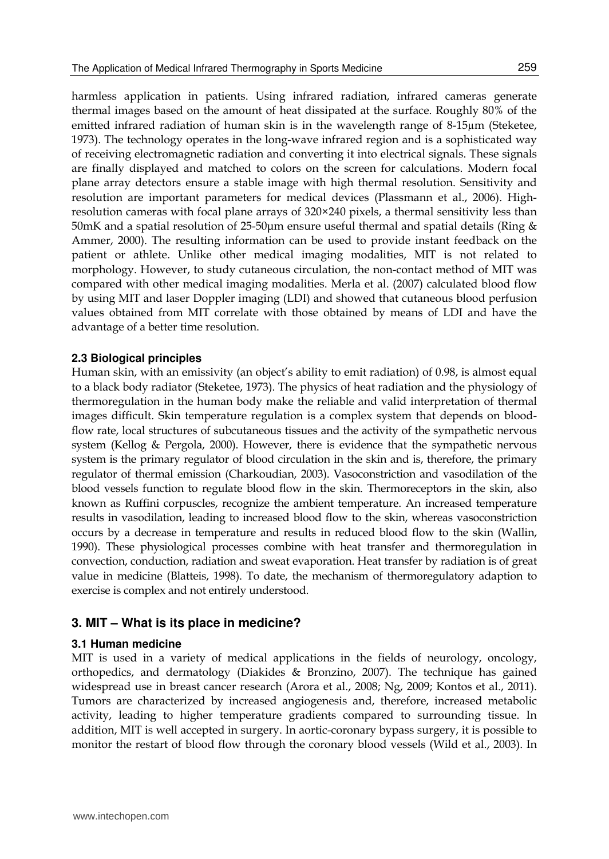harmless application in patients. Using infrared radiation, infrared cameras generate thermal images based on the amount of heat dissipated at the surface. Roughly 80% of the emitted infrared radiation of human skin is in the wavelength range of 8-15µm (Steketee, 1973). The technology operates in the long-wave infrared region and is a sophisticated way of receiving electromagnetic radiation and converting it into electrical signals. These signals are finally displayed and matched to colors on the screen for calculations. Modern focal plane array detectors ensure a stable image with high thermal resolution. Sensitivity and resolution are important parameters for medical devices (Plassmann et al., 2006). Highresolution cameras with focal plane arrays of 320×240 pixels, a thermal sensitivity less than 50mK and a spatial resolution of  $25-50\mu$ m ensure useful thermal and spatial details (Ring & Ammer, 2000). The resulting information can be used to provide instant feedback on the patient or athlete. Unlike other medical imaging modalities, MIT is not related to morphology. However, to study cutaneous circulation, the non-contact method of MIT was compared with other medical imaging modalities. Merla et al. (2007) calculated blood flow by using MIT and laser Doppler imaging (LDI) and showed that cutaneous blood perfusion values obtained from MIT correlate with those obtained by means of LDI and have the advantage of a better time resolution.

#### **2.3 Biological principles**

Human skin, with an emissivity (an object's ability to emit radiation) of 0.98, is almost equal to a black body radiator (Steketee, 1973). The physics of heat radiation and the physiology of thermoregulation in the human body make the reliable and valid interpretation of thermal images difficult. Skin temperature regulation is a complex system that depends on bloodflow rate, local structures of subcutaneous tissues and the activity of the sympathetic nervous system (Kellog & Pergola, 2000). However, there is evidence that the sympathetic nervous system is the primary regulator of blood circulation in the skin and is, therefore, the primary regulator of thermal emission (Charkoudian, 2003). Vasoconstriction and vasodilation of the blood vessels function to regulate blood flow in the skin. Thermoreceptors in the skin, also known as Ruffini corpuscles, recognize the ambient temperature. An increased temperature results in vasodilation, leading to increased blood flow to the skin, whereas vasoconstriction occurs by a decrease in temperature and results in reduced blood flow to the skin (Wallin, 1990). These physiological processes combine with heat transfer and thermoregulation in convection, conduction, radiation and sweat evaporation. Heat transfer by radiation is of great value in medicine (Blatteis, 1998). To date, the mechanism of thermoregulatory adaption to exercise is complex and not entirely understood.

### **3. MIT – What is its place in medicine?**

#### **3.1 Human medicine**

MIT is used in a variety of medical applications in the fields of neurology, oncology, orthopedics, and dermatology (Diakides & Bronzino, 2007). The technique has gained widespread use in breast cancer research (Arora et al., 2008; Ng, 2009; Kontos et al., 2011). Tumors are characterized by increased angiogenesis and, therefore, increased metabolic activity, leading to higher temperature gradients compared to surrounding tissue. In addition, MIT is well accepted in surgery. In aortic-coronary bypass surgery, it is possible to monitor the restart of blood flow through the coronary blood vessels (Wild et al., 2003). In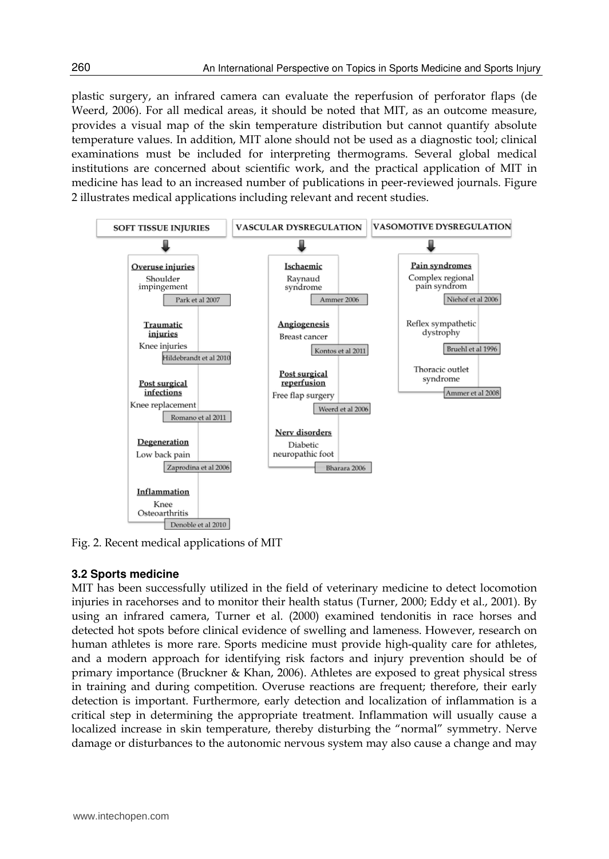plastic surgery, an infrared camera can evaluate the reperfusion of perforator flaps (de Weerd, 2006). For all medical areas, it should be noted that MIT, as an outcome measure, provides a visual map of the skin temperature distribution but cannot quantify absolute temperature values. In addition, MIT alone should not be used as a diagnostic tool; clinical examinations must be included for interpreting thermograms. Several global medical institutions are concerned about scientific work, and the practical application of MIT in medicine has lead to an increased number of publications in peer-reviewed journals. Figure 2 illustrates medical applications including relevant and recent studies.



Fig. 2. Recent medical applications of MIT

#### **3.2 Sports medicine**

MIT has been successfully utilized in the field of veterinary medicine to detect locomotion injuries in racehorses and to monitor their health status (Turner, 2000; Eddy et al., 2001). By using an infrared camera, Turner et al. (2000) examined tendonitis in race horses and detected hot spots before clinical evidence of swelling and lameness. However, research on human athletes is more rare. Sports medicine must provide high-quality care for athletes, and a modern approach for identifying risk factors and injury prevention should be of primary importance (Bruckner & Khan, 2006). Athletes are exposed to great physical stress in training and during competition. Overuse reactions are frequent; therefore, their early detection is important. Furthermore, early detection and localization of inflammation is a critical step in determining the appropriate treatment. Inflammation will usually cause a localized increase in skin temperature, thereby disturbing the "normal" symmetry. Nerve damage or disturbances to the autonomic nervous system may also cause a change and may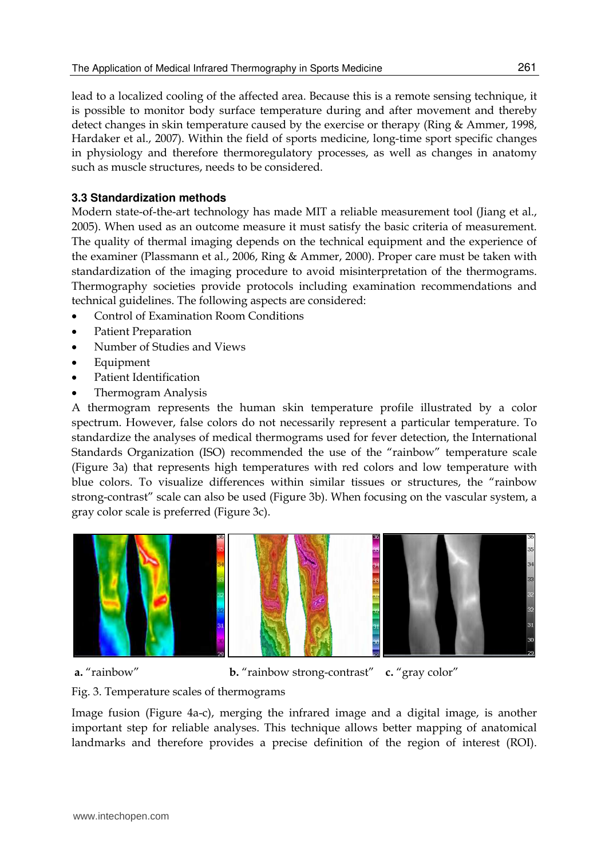lead to a localized cooling of the affected area. Because this is a remote sensing technique, it is possible to monitor body surface temperature during and after movement and thereby detect changes in skin temperature caused by the exercise or therapy (Ring & Ammer, 1998, Hardaker et al., 2007). Within the field of sports medicine, long-time sport specific changes in physiology and therefore thermoregulatory processes, as well as changes in anatomy such as muscle structures, needs to be considered.

#### **3.3 Standardization methods**

Modern state-of-the-art technology has made MIT a reliable measurement tool (Jiang et al., 2005). When used as an outcome measure it must satisfy the basic criteria of measurement. The quality of thermal imaging depends on the technical equipment and the experience of the examiner (Plassmann et al., 2006, Ring & Ammer, 2000). Proper care must be taken with standardization of the imaging procedure to avoid misinterpretation of the thermograms. Thermography societies provide protocols including examination recommendations and technical guidelines. The following aspects are considered:

- Control of Examination Room Conditions
- Patient Preparation
- Number of Studies and Views
- Equipment
- Patient Identification
- Thermogram Analysis

A thermogram represents the human skin temperature profile illustrated by a color spectrum. However, false colors do not necessarily represent a particular temperature. To standardize the analyses of medical thermograms used for fever detection, the International Standards Organization (ISO) recommended the use of the "rainbow" temperature scale (Figure 3a) that represents high temperatures with red colors and low temperature with blue colors. To visualize differences within similar tissues or structures, the "rainbow strong-contrast" scale can also be used (Figure 3b). When focusing on the vascular system, a gray color scale is preferred (Figure 3c).



**a.** "rainbow" **b.** "rainbow strong-contrast" **c.** "gray color"

Fig. 3. Temperature scales of thermograms

Image fusion (Figure 4a-c), merging the infrared image and a digital image, is another important step for reliable analyses. This technique allows better mapping of anatomical landmarks and therefore provides a precise definition of the region of interest (ROI).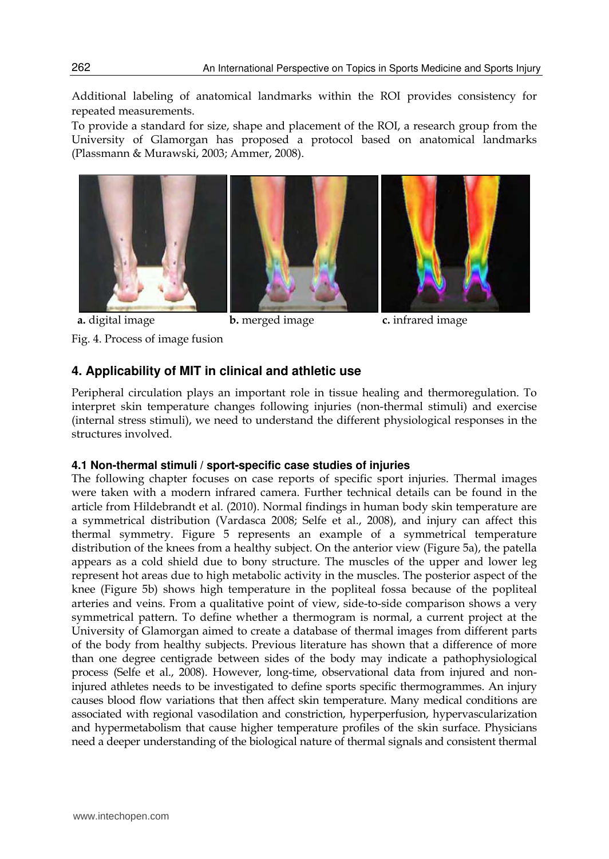Additional labeling of anatomical landmarks within the ROI provides consistency for repeated measurements.

To provide a standard for size, shape and placement of the ROI, a research group from the University of Glamorgan has proposed a protocol based on anatomical landmarks (Plassmann & Murawski, 2003; Ammer, 2008).



Fig. 4. Process of image fusion





**a.** digital image **b.** merged image **c.** infrared image

# **4. Applicability of MIT in clinical and athletic use**

Peripheral circulation plays an important role in tissue healing and thermoregulation. To interpret skin temperature changes following injuries (non-thermal stimuli) and exercise (internal stress stimuli), we need to understand the different physiological responses in the structures involved.

#### **4.1 Non-thermal stimuli / sport-specific case studies of injuries**

The following chapter focuses on case reports of specific sport injuries. Thermal images were taken with a modern infrared camera. Further technical details can be found in the article from Hildebrandt et al. (2010). Normal findings in human body skin temperature are a symmetrical distribution (Vardasca 2008; Selfe et al., 2008), and injury can affect this thermal symmetry. Figure 5 represents an example of a symmetrical temperature distribution of the knees from a healthy subject. On the anterior view (Figure 5a), the patella appears as a cold shield due to bony structure. The muscles of the upper and lower leg represent hot areas due to high metabolic activity in the muscles. The posterior aspect of the knee (Figure 5b) shows high temperature in the popliteal fossa because of the popliteal arteries and veins. From a qualitative point of view, side-to-side comparison shows a very symmetrical pattern. To define whether a thermogram is normal, a current project at the University of Glamorgan aimed to create a database of thermal images from different parts of the body from healthy subjects. Previous literature has shown that a difference of more than one degree centigrade between sides of the body may indicate a pathophysiological process (Selfe et al., 2008). However, long-time, observational data from injured and noninjured athletes needs to be investigated to define sports specific thermogrammes. An injury causes blood flow variations that then affect skin temperature. Many medical conditions are associated with regional vasodilation and constriction, hyperperfusion, hypervascularization and hypermetabolism that cause higher temperature profiles of the skin surface. Physicians need a deeper understanding of the biological nature of thermal signals and consistent thermal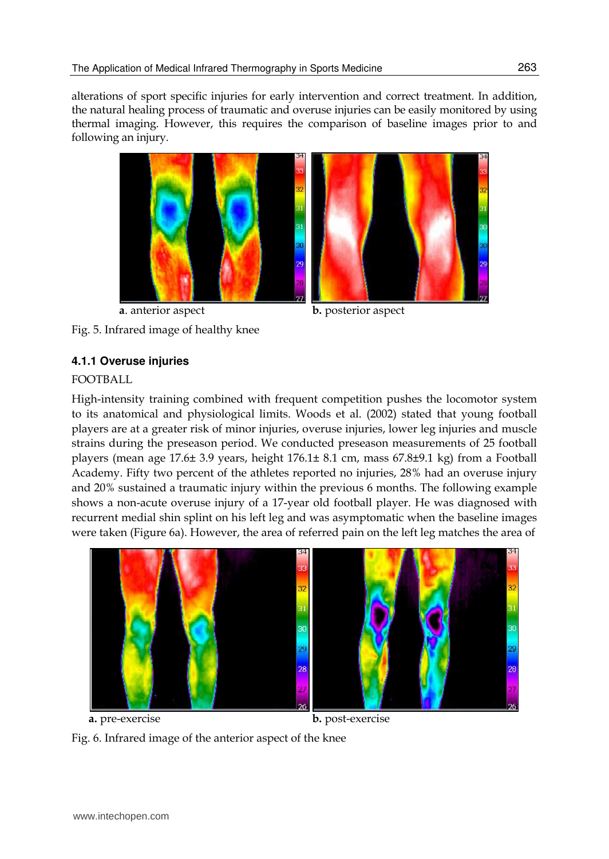alterations of sport specific injuries for early intervention and correct treatment. In addition, the natural healing process of traumatic and overuse injuries can be easily monitored by using thermal imaging. However, this requires the comparison of baseline images prior to and following an injury.



 **a**. anterior aspect **b.** posterior aspect Fig. 5. Infrared image of healthy knee

# **4.1.1 Overuse injuries**

## FOOTBALL

High-intensity training combined with frequent competition pushes the locomotor system to its anatomical and physiological limits. Woods et al. (2002) stated that young football players are at a greater risk of minor injuries, overuse injuries, lower leg injuries and muscle strains during the preseason period. We conducted preseason measurements of 25 football players (mean age 17.6± 3.9 years, height 176.1± 8.1 cm, mass 67.8±9.1 kg) from a Football Academy. Fifty two percent of the athletes reported no injuries, 28% had an overuse injury and 20% sustained a traumatic injury within the previous 6 months. The following example shows a non-acute overuse injury of a 17-year old football player. He was diagnosed with recurrent medial shin splint on his left leg and was asymptomatic when the baseline images were taken (Figure 6a). However, the area of referred pain on the left leg matches the area of



 **a.** pre-exercise **b.** post-exercise

Fig. 6. Infrared image of the anterior aspect of the knee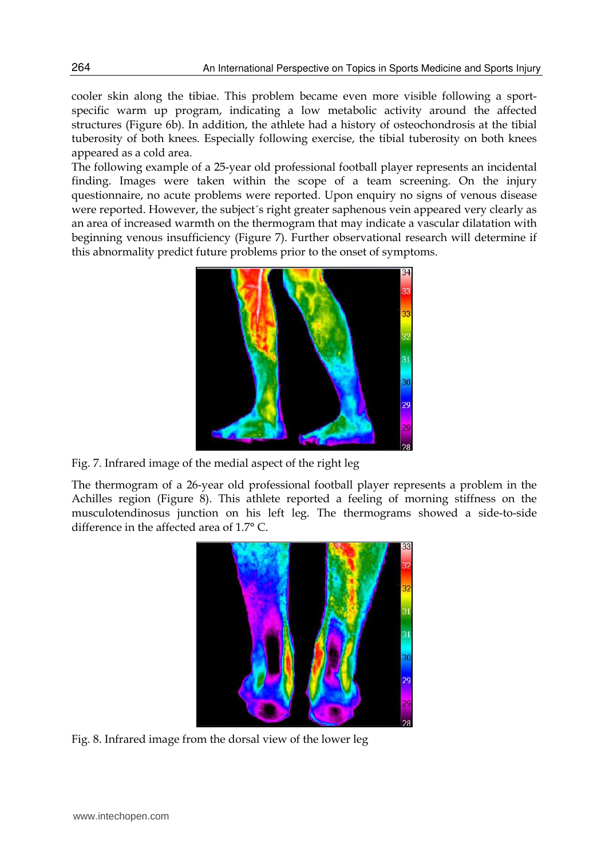cooler skin along the tibiae. This problem became even more visible following a sportspecific warm up program, indicating a low metabolic activity around the affected structures (Figure 6b). In addition, the athlete had a history of osteochondrosis at the tibial tuberosity of both knees. Especially following exercise, the tibial tuberosity on both knees appeared as a cold area.

The following example of a 25-year old professional football player represents an incidental finding. Images were taken within the scope of a team screening. On the injury questionnaire, no acute problems were reported. Upon enquiry no signs of venous disease were reported. However, the subject´s right greater saphenous vein appeared very clearly as an area of increased warmth on the thermogram that may indicate a vascular dilatation with beginning venous insufficiency (Figure 7). Further observational research will determine if this abnormality predict future problems prior to the onset of symptoms.



Fig. 7. Infrared image of the medial aspect of the right leg

The thermogram of a 26-year old professional football player represents a problem in the Achilles region (Figure 8). This athlete reported a feeling of morning stiffness on the musculotendinosus junction on his left leg. The thermograms showed a side-to-side difference in the affected area of 1.7° C.



Fig. 8. Infrared image from the dorsal view of the lower leg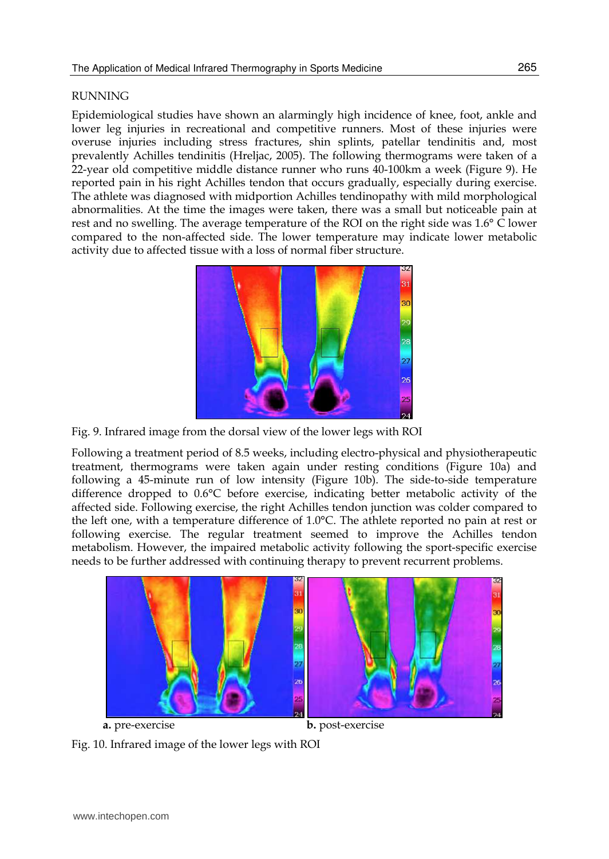#### RUNNING

Epidemiological studies have shown an alarmingly high incidence of knee, foot, ankle and lower leg injuries in recreational and competitive runners. Most of these injuries were overuse injuries including stress fractures, shin splints, patellar tendinitis and, most prevalently Achilles tendinitis (Hreljac, 2005). The following thermograms were taken of a 22-year old competitive middle distance runner who runs 40-100km a week (Figure 9). He reported pain in his right Achilles tendon that occurs gradually, especially during exercise. The athlete was diagnosed with midportion Achilles tendinopathy with mild morphological abnormalities. At the time the images were taken, there was a small but noticeable pain at rest and no swelling. The average temperature of the ROI on the right side was 1.6° C lower compared to the non-affected side. The lower temperature may indicate lower metabolic activity due to affected tissue with a loss of normal fiber structure.



Fig. 9. Infrared image from the dorsal view of the lower legs with ROI

Following a treatment period of 8.5 weeks, including electro-physical and physiotherapeutic treatment, thermograms were taken again under resting conditions (Figure 10a) and following a 45-minute run of low intensity (Figure 10b). The side-to-side temperature difference dropped to 0.6°C before exercise, indicating better metabolic activity of the affected side. Following exercise, the right Achilles tendon junction was colder compared to the left one, with a temperature difference of 1.0°C. The athlete reported no pain at rest or following exercise. The regular treatment seemed to improve the Achilles tendon metabolism. However, the impaired metabolic activity following the sport-specific exercise needs to be further addressed with continuing therapy to prevent recurrent problems.



Fig. 10. Infrared image of the lower legs with ROI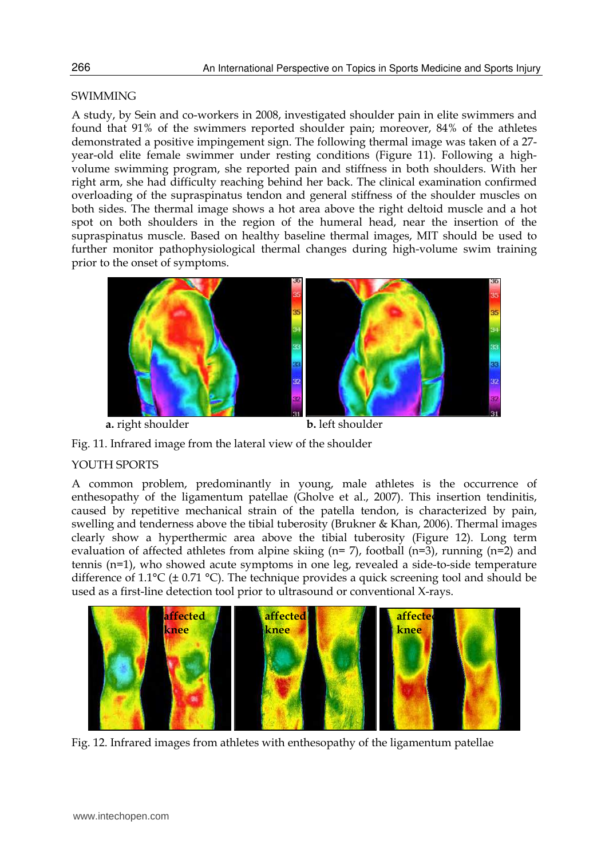#### **SWIMMING**

A study, by Sein and co-workers in 2008, investigated shoulder pain in elite swimmers and found that 91% of the swimmers reported shoulder pain; moreover, 84% of the athletes demonstrated a positive impingement sign. The following thermal image was taken of a 27 year-old elite female swimmer under resting conditions (Figure 11). Following a highvolume swimming program, she reported pain and stiffness in both shoulders. With her right arm, she had difficulty reaching behind her back. The clinical examination confirmed overloading of the supraspinatus tendon and general stiffness of the shoulder muscles on both sides. The thermal image shows a hot area above the right deltoid muscle and a hot spot on both shoulders in the region of the humeral head, near the insertion of the supraspinatus muscle. Based on healthy baseline thermal images, MIT should be used to further monitor pathophysiological thermal changes during high-volume swim training prior to the onset of symptoms.



**a.** right shoulder **b.** left shoulder



#### YOUTH SPORTS

A common problem, predominantly in young, male athletes is the occurrence of enthesopathy of the ligamentum patellae (Gholve et al., 2007). This insertion tendinitis, caused by repetitive mechanical strain of the patella tendon, is characterized by pain, swelling and tenderness above the tibial tuberosity (Brukner & Khan, 2006). Thermal images clearly show a hyperthermic area above the tibial tuberosity (Figure 12). Long term evaluation of affected athletes from alpine skiing  $(n=7)$ , football  $(n=3)$ , running  $(n=2)$  and tennis (n=1), who showed acute symptoms in one leg, revealed a side-to-side temperature difference of 1.1 $^{\circ}$ C (± 0.71  $^{\circ}$ C). The technique provides a quick screening tool and should be used as a first-line detection tool prior to ultrasound or conventional X-rays.



Fig. 12. Infrared images from athletes with enthesopathy of the ligamentum patellae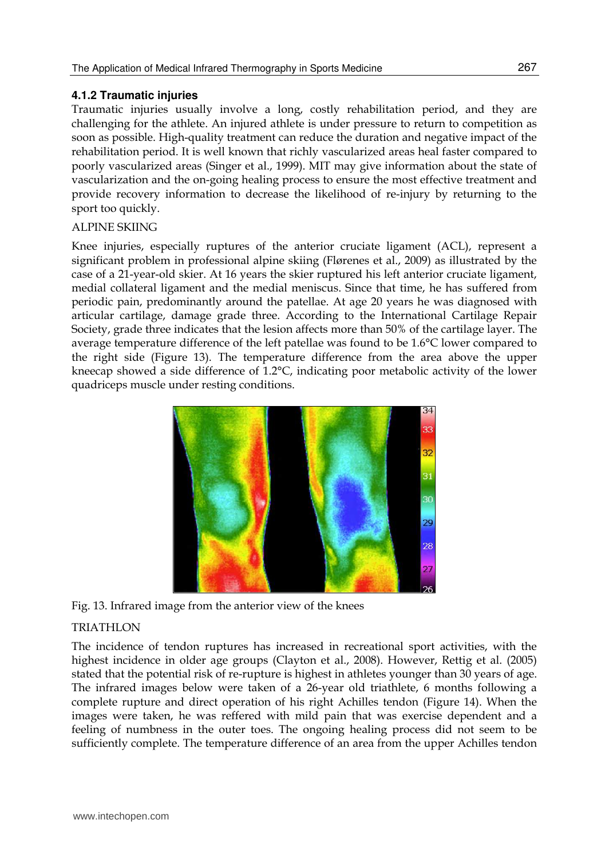#### **4.1.2 Traumatic injuries**

Traumatic injuries usually involve a long, costly rehabilitation period, and they are challenging for the athlete. An injured athlete is under pressure to return to competition as soon as possible. High-quality treatment can reduce the duration and negative impact of the rehabilitation period. It is well known that richly vascularized areas heal faster compared to poorly vascularized areas (Singer et al., 1999). MIT may give information about the state of vascularization and the on-going healing process to ensure the most effective treatment and provide recovery information to decrease the likelihood of re-injury by returning to the sport too quickly.

#### ALPINE SKIING

Knee injuries, especially ruptures of the anterior cruciate ligament (ACL), represent a significant problem in professional alpine skiing (Flørenes et al., 2009) as illustrated by the case of a 21-year-old skier. At 16 years the skier ruptured his left anterior cruciate ligament, medial collateral ligament and the medial meniscus. Since that time, he has suffered from periodic pain, predominantly around the patellae. At age 20 years he was diagnosed with articular cartilage, damage grade three. According to the International Cartilage Repair Society, grade three indicates that the lesion affects more than 50% of the cartilage layer. The average temperature difference of the left patellae was found to be 1.6°C lower compared to the right side (Figure 13). The temperature difference from the area above the upper kneecap showed a side difference of 1.2°C, indicating poor metabolic activity of the lower quadriceps muscle under resting conditions.



Fig. 13. Infrared image from the anterior view of the knees

### TRIATHLON

The incidence of tendon ruptures has increased in recreational sport activities, with the highest incidence in older age groups (Clayton et al., 2008). However, Rettig et al. (2005) stated that the potential risk of re-rupture is highest in athletes younger than 30 years of age. The infrared images below were taken of a 26-year old triathlete, 6 months following a complete rupture and direct operation of his right Achilles tendon (Figure 14). When the images were taken, he was reffered with mild pain that was exercise dependent and a feeling of numbness in the outer toes. The ongoing healing process did not seem to be sufficiently complete. The temperature difference of an area from the upper Achilles tendon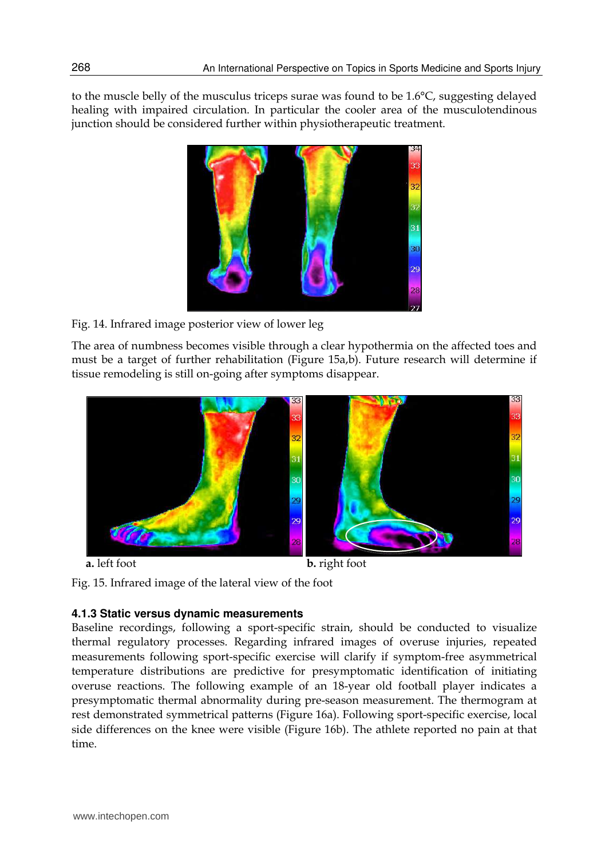to the muscle belly of the musculus triceps surae was found to be 1.6°C, suggesting delayed healing with impaired circulation. In particular the cooler area of the musculotendinous junction should be considered further within physiotherapeutic treatment.



Fig. 14. Infrared image posterior view of lower leg

The area of numbness becomes visible through a clear hypothermia on the affected toes and must be a target of further rehabilitation (Figure 15a,b). Future research will determine if tissue remodeling is still on-going after symptoms disappear.



 **a.** left foot **b.** right foot

Fig. 15. Infrared image of the lateral view of the foot

# **4.1.3 Static versus dynamic measurements**

Baseline recordings, following a sport-specific strain, should be conducted to visualize thermal regulatory processes. Regarding infrared images of overuse injuries, repeated measurements following sport-specific exercise will clarify if symptom-free asymmetrical temperature distributions are predictive for presymptomatic identification of initiating overuse reactions. The following example of an 18-year old football player indicates a presymptomatic thermal abnormality during pre-season measurement. The thermogram at rest demonstrated symmetrical patterns (Figure 16a). Following sport-specific exercise, local side differences on the knee were visible (Figure 16b). The athlete reported no pain at that time.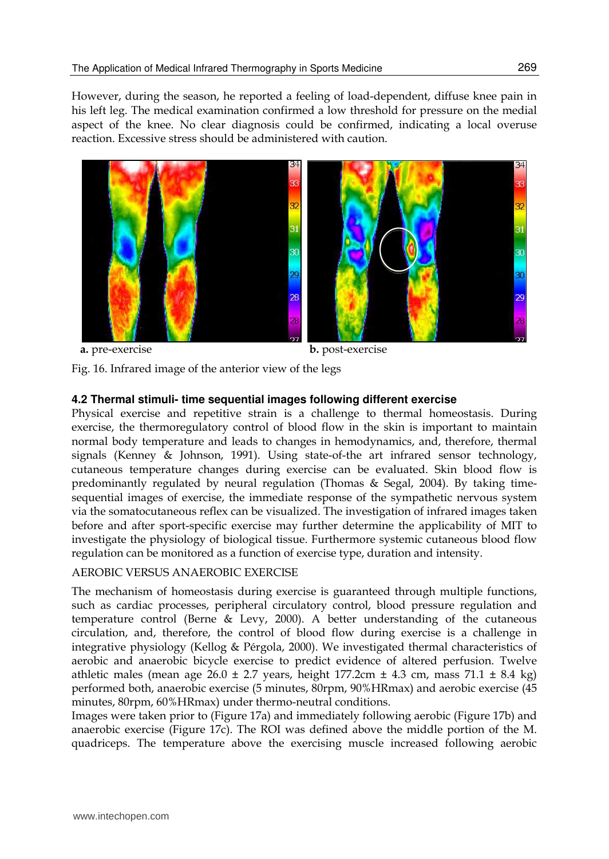However, during the season, he reported a feeling of load-dependent, diffuse knee pain in his left leg. The medical examination confirmed a low threshold for pressure on the medial aspect of the knee. No clear diagnosis could be confirmed, indicating a local overuse reaction. Excessive stress should be administered with caution.



 **a.** pre-exercise **b.** post-exercise



### **4.2 Thermal stimuli- time sequential images following different exercise**

Physical exercise and repetitive strain is a challenge to thermal homeostasis. During exercise, the thermoregulatory control of blood flow in the skin is important to maintain normal body temperature and leads to changes in hemodynamics, and, therefore, thermal signals (Kenney & Johnson, 1991). Using state-of-the art infrared sensor technology, cutaneous temperature changes during exercise can be evaluated. Skin blood flow is predominantly regulated by neural regulation (Thomas & Segal, 2004). By taking timesequential images of exercise, the immediate response of the sympathetic nervous system via the somatocutaneous reflex can be visualized. The investigation of infrared images taken before and after sport-specific exercise may further determine the applicability of MIT to investigate the physiology of biological tissue. Furthermore systemic cutaneous blood flow regulation can be monitored as a function of exercise type, duration and intensity.

AEROBIC VERSUS ANAEROBIC EXERCISE

The mechanism of homeostasis during exercise is guaranteed through multiple functions, such as cardiac processes, peripheral circulatory control, blood pressure regulation and temperature control (Berne & Levy, 2000). A better understanding of the cutaneous circulation, and, therefore, the control of blood flow during exercise is a challenge in integrative physiology (Kellog & Pérgola, 2000). We investigated thermal characteristics of aerobic and anaerobic bicycle exercise to predict evidence of altered perfusion. Twelve athletic males (mean age  $26.0 \pm 2.7$  years, height 177.2cm  $\pm$  4.3 cm, mass 71.1  $\pm$  8.4 kg) performed both, anaerobic exercise (5 minutes, 80rpm, 90%HRmax) and aerobic exercise (45 minutes, 80rpm, 60%HRmax) under thermo-neutral conditions.

Images were taken prior to (Figure 17a) and immediately following aerobic (Figure 17b) and anaerobic exercise (Figure 17c). The ROI was defined above the middle portion of the M. quadriceps. The temperature above the exercising muscle increased following aerobic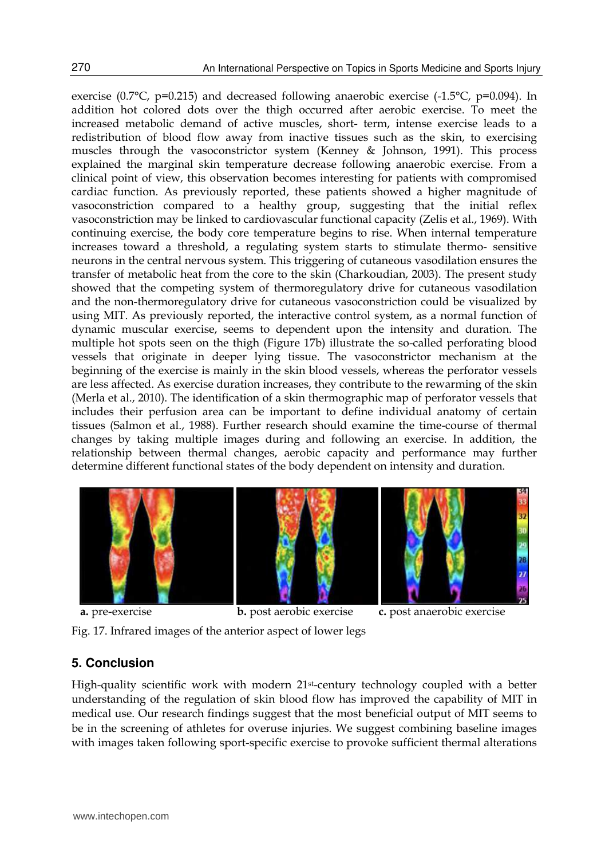exercise (0.7 $^{\circ}$ C, p=0.215) and decreased following anaerobic exercise (-1.5 $^{\circ}$ C, p=0.094). In addition hot colored dots over the thigh occurred after aerobic exercise. To meet the increased metabolic demand of active muscles, short- term, intense exercise leads to a redistribution of blood flow away from inactive tissues such as the skin, to exercising muscles through the vasoconstrictor system (Kenney & Johnson, 1991). This process explained the marginal skin temperature decrease following anaerobic exercise. From a clinical point of view, this observation becomes interesting for patients with compromised cardiac function. As previously reported, these patients showed a higher magnitude of vasoconstriction compared to a healthy group, suggesting that the initial reflex vasoconstriction may be linked to cardiovascular functional capacity (Zelis et al., 1969). With continuing exercise, the body core temperature begins to rise. When internal temperature increases toward a threshold, a regulating system starts to stimulate thermo- sensitive neurons in the central nervous system. This triggering of cutaneous vasodilation ensures the transfer of metabolic heat from the core to the skin (Charkoudian, 2003). The present study showed that the competing system of thermoregulatory drive for cutaneous vasodilation and the non-thermoregulatory drive for cutaneous vasoconstriction could be visualized by using MIT. As previously reported, the interactive control system, as a normal function of dynamic muscular exercise, seems to dependent upon the intensity and duration. The multiple hot spots seen on the thigh (Figure 17b) illustrate the so-called perforating blood vessels that originate in deeper lying tissue. The vasoconstrictor mechanism at the beginning of the exercise is mainly in the skin blood vessels, whereas the perforator vessels are less affected. As exercise duration increases, they contribute to the rewarming of the skin (Merla et al., 2010). The identification of a skin thermographic map of perforator vessels that includes their perfusion area can be important to define individual anatomy of certain tissues (Salmon et al., 1988). Further research should examine the time-course of thermal changes by taking multiple images during and following an exercise. In addition, the relationship between thermal changes, aerobic capacity and performance may further determine different functional states of the body dependent on intensity and duration.



Fig. 17. Infrared images of the anterior aspect of lower legs

### **5. Conclusion**

High-quality scientific work with modern 21st-century technology coupled with a better understanding of the regulation of skin blood flow has improved the capability of MIT in medical use. Our research findings suggest that the most beneficial output of MIT seems to be in the screening of athletes for overuse injuries. We suggest combining baseline images with images taken following sport-specific exercise to provoke sufficient thermal alterations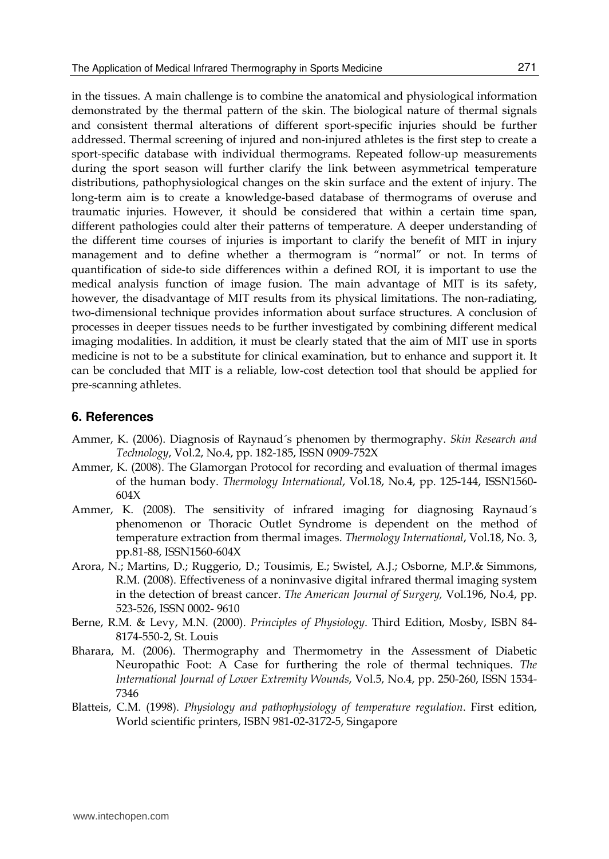in the tissues. A main challenge is to combine the anatomical and physiological information demonstrated by the thermal pattern of the skin. The biological nature of thermal signals and consistent thermal alterations of different sport-specific injuries should be further addressed. Thermal screening of injured and non-injured athletes is the first step to create a sport-specific database with individual thermograms. Repeated follow-up measurements during the sport season will further clarify the link between asymmetrical temperature distributions, pathophysiological changes on the skin surface and the extent of injury. The long-term aim is to create a knowledge-based database of thermograms of overuse and traumatic injuries. However, it should be considered that within a certain time span, different pathologies could alter their patterns of temperature. A deeper understanding of the different time courses of injuries is important to clarify the benefit of MIT in injury management and to define whether a thermogram is "normal" or not. In terms of quantification of side-to side differences within a defined ROI, it is important to use the medical analysis function of image fusion. The main advantage of MIT is its safety, however, the disadvantage of MIT results from its physical limitations. The non-radiating, two-dimensional technique provides information about surface structures. A conclusion of processes in deeper tissues needs to be further investigated by combining different medical imaging modalities. In addition, it must be clearly stated that the aim of MIT use in sports medicine is not to be a substitute for clinical examination, but to enhance and support it. It can be concluded that MIT is a reliable, low-cost detection tool that should be applied for pre-scanning athletes.

#### **6. References**

- Ammer, K. (2006). Diagnosis of Raynaud´s phenomen by thermography. *Skin Research and Technology*, Vol.2, No.4, pp. 182-185, ISSN 0909-752X
- Ammer, K. (2008). The Glamorgan Protocol for recording and evaluation of thermal images of the human body. *Thermology International*, Vol.18, No.4, pp. 125-144, ISSN1560- 604X
- Ammer, K. (2008). The sensitivity of infrared imaging for diagnosing Raynaud´s phenomenon or Thoracic Outlet Syndrome is dependent on the method of temperature extraction from thermal images. *Thermology International*, Vol.18, No. 3, pp.81-88, ISSN1560-604X
- Arora, N.; Martins, D.; Ruggerio, D.; Tousimis, E.; Swistel, A.J.; Osborne, M.P.& Simmons, R.M. (2008). Effectiveness of a noninvasive digital infrared thermal imaging system in the detection of breast cancer. *The American Journal of Surgery,* Vol.196, No.4, pp. 523-526, ISSN 0002- 9610
- Berne, R.M. & Levy, M.N. (2000). *Principles of Physiology*. Third Edition, Mosby, ISBN 84- 8174-550-2, St. Louis
- Bharara, M. (2006). Thermography and Thermometry in the Assessment of Diabetic Neuropathic Foot: A Case for furthering the role of thermal techniques. *The International Journal of Lower Extremity Wounds*, Vol.5, No.4, pp. 250-260, ISSN 1534- 7346
- Blatteis, C.M. (1998). *Physiology and pathophysiology of temperature regulation*. First edition, World scientific printers, ISBN 981-02-3172-5, Singapore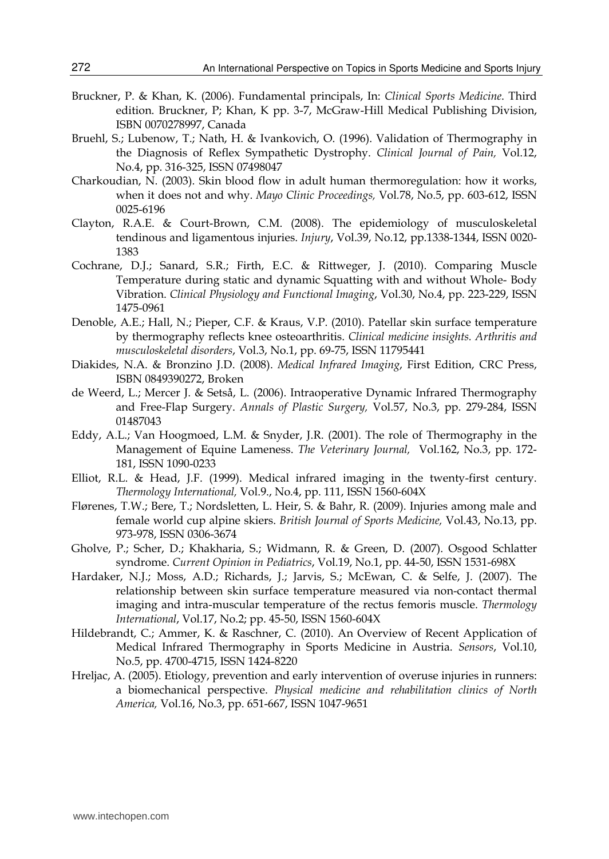- Bruckner, P. & Khan, K. (2006). Fundamental principals, In: *Clinical Sports Medicine*. Third edition. Bruckner, P; Khan, K pp. 3-7, McGraw-Hill Medical Publishing Division, ISBN 0070278997, Canada
- Bruehl, S.; Lubenow, T.; Nath, H. & Ivankovich, O. (1996). Validation of Thermography in the Diagnosis of Reflex Sympathetic Dystrophy. *Clinical Journal of Pain,* Vol.12, No.4, pp. 316-325, ISSN 07498047
- Charkoudian, N. (2003). Skin blood flow in adult human thermoregulation: how it works, when it does not and why. *Mayo Clinic Proceedings,* Vol*.*78, No.5, pp. 603-612, ISSN 0025-6196
- Clayton, R.A.E. & Court-Brown, C.M. (2008). The epidemiology of musculoskeletal tendinous and ligamentous injuries. *Injury*, Vol.39, No.12, pp.1338-1344, ISSN 0020- 1383
- Cochrane, D.J.; Sanard, S.R.; Firth, E.C. & Rittweger, J. (2010). Comparing Muscle Temperature during static and dynamic Squatting with and without Whole- Body Vibration. *Clinical Physiology and Functional Imaging*, Vol.30, No.4, pp. 223-229, ISSN 1475-0961
- Denoble, A.E.; Hall, N.; Pieper, C.F. & Kraus, V.P. (2010). Patellar skin surface temperature by thermography reflects knee osteoarthritis. *Clinical medicine insights. Arthritis and musculoskeletal disorders*, Vol.3, No.1, pp. 69-75, ISSN 11795441
- Diakides, N.A. & Bronzino J.D. (2008). *Medical Infrared Imaging*, First Edition, CRC Press, ISBN 0849390272, Broken
- de Weerd, L.; Mercer J. & Setså, L. (2006). Intraoperative Dynamic Infrared Thermography and Free-Flap Surgery. *Annals of Plastic Surgery,* Vol.57, No.3, pp. 279-284, ISSN 01487043
- Eddy, A.L.; Van Hoogmoed, L.M. & Snyder, J.R. (2001). The role of Thermography in the Management of Equine Lameness. *The Veterinary Journal,* Vol.162, No.3, pp. 172- 181, ISSN 1090-0233
- Elliot, R.L. & Head, J.F. (1999). Medical infrared imaging in the twenty-first century. *Thermology International,* Vol.9., No.4, pp. 111, ISSN 1560-604X
- Flørenes, T.W.; Bere, T.; Nordsletten, L. Heir, S. & Bahr, R. (2009). Injuries among male and female world cup alpine skiers. *British Journal of Sports Medicine,* Vol.43, No.13, pp. 973-978, ISSN 0306-3674
- Gholve, P.; Scher, D.; Khakharia, S.; Widmann, R. & Green, D. (2007). Osgood Schlatter syndrome. *Current Opinion in Pediatrics*, Vol.19, No.1, pp. 44-50, ISSN 1531-698X
- Hardaker, N.J.; Moss, A.D.; Richards, J.; Jarvis, S.; McEwan, C. & Selfe, J. (2007). The relationship between skin surface temperature measured via non-contact thermal imaging and intra-muscular temperature of the rectus femoris muscle. *Thermology International*, Vol.17, No.2; pp. 45-50, ISSN 1560-604X
- Hildebrandt, C.; Ammer, K. & Raschner, C. (2010). An Overview of Recent Application of Medical Infrared Thermography in Sports Medicine in Austria. *Sensors*, Vol.10, No.5, pp. 4700-4715, ISSN 1424-8220
- Hreljac, A. (2005). Etiology, prevention and early intervention of overuse injuries in runners: a biomechanical perspective. *Physical medicine and rehabilitation clinics of North America,* Vol.16, No.3, pp. 651-667, ISSN 1047-9651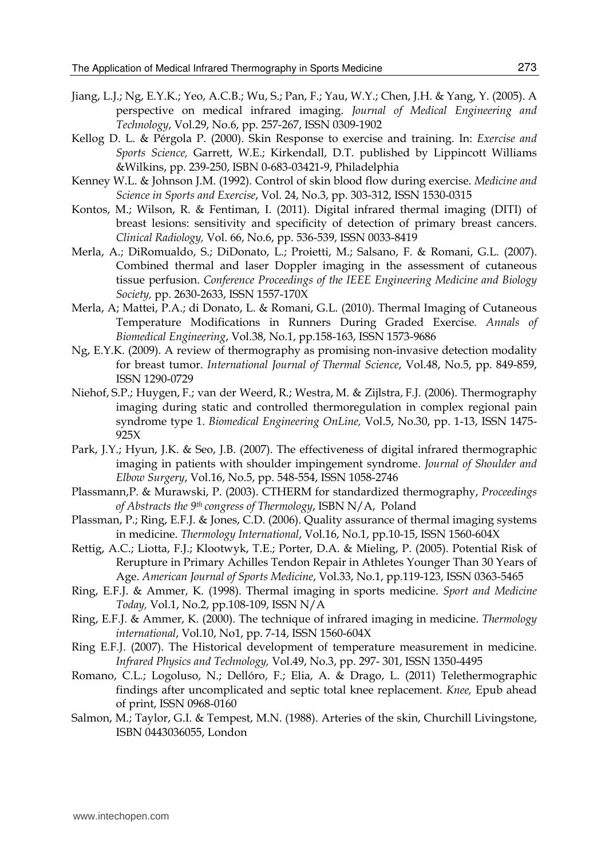- Jiang, L.J.; Ng, E.Y.K.; Yeo, A.C.B.; Wu, S.; Pan, F.; Yau, W.Y.; Chen, J.H. & Yang, Y. (2005). A perspective on medical infrared imaging. *Journal of Medical Engineering and Technology*, Vol.29, No.6, pp. 257-267, ISSN 0309-1902
- Kellog D. L. & Pérgola P. (2000). Skin Response to exercise and training. In: *Exercise and Sports Science,* Garrett, W.E.; Kirkendall, D.T. published by Lippincott Williams &Wilkins, pp. 239-250, ISBN 0-683-03421-9, Philadelphia
- Kenney W.L. & Johnson J.M. (1992). Control of skin blood flow during exercise. *Medicine and Science in Sports and Exercise*, Vol. 24, No.3, pp. 303-312, ISSN 1530-0315
- Kontos, M.; Wilson, R. & Fentiman, I. (2011). Digital infrared thermal imaging (DITI) of breast lesions: sensitivity and specificity of detection of primary breast cancers. *Clinical Radiology,* Vol. 66, No.6, pp. 536-539, ISSN 0033-8419
- Merla, A.; DiRomualdo, S.; DiDonato, L.; Proietti, M.; Salsano, F. & Romani, G.L. (2007). Combined thermal and laser Doppler imaging in the assessment of cutaneous tissue perfusion. *Conference Proceedings of the IEEE Engineering Medicine and Biology Society,* pp. 2630-2633, ISSN 1557-170X
- Merla, A; Mattei, P.A.; di Donato, L. & Romani, G.L. (2010). Thermal Imaging of Cutaneous Temperature Modifications in Runners During Graded Exercise*. Annals of Biomedical Engineering*, Vol.38, No.1, pp.158-163, ISSN 1573-9686
- Ng, E.Y.K. (2009). A review of thermography as promising non-invasive detection modality for breast tumor. *International Journal of Thermal Science*, Vol.48, No.5, pp. 849-859, ISSN 1290-0729
- Niehof, S.P.; Huygen, F.; van der Weerd, R.; Westra, M. & Zijlstra, F.J. (2006). Thermography imaging during static and controlled thermoregulation in complex regional pain syndrome type 1. *Biomedical Engineering OnLine,* Vol.5, No.30, pp. 1-13, ISSN 1475- 925X
- Park, J.Y.; Hyun, J.K. & Seo, J.B. (2007). The effectiveness of digital infrared thermographic imaging in patients with shoulder impingement syndrome. *Journal of Shoulder and Elbow Surgery*, Vol.16, No.5, pp. 548-554, ISSN 1058-2746
- Plassmann,P. & Murawski, P. (2003). CTHERM for standardized thermography, *Proceedings of Abstracts the 9th congress of Thermology*, ISBN N/A, Poland
- Plassman, P.; Ring, E.F.J. & Jones, C.D. (2006). Quality assurance of thermal imaging systems in medicine. *Thermology International*, Vol.16, No.1, pp.10-15, ISSN 1560-604X
- Rettig, A.C.; Liotta, F.J.; Klootwyk, T.E.; Porter, D.A. & Mieling, P. (2005). Potential Risk of Rerupture in Primary Achilles Tendon Repair in Athletes Younger Than 30 Years of Age. *American Journal of Sports Medicine*, Vol.33, No.1, pp.119-123, ISSN 0363-5465
- Ring, E.F.J. & Ammer, K. (1998). Thermal imaging in sports medicine. *Sport and Medicine Today,* Vol.1, No.2, pp.108-109, ISSN N/A
- Ring, E.F.J. & Ammer, K. (2000). The technique of infrared imaging in medicine. *Thermology international*, Vol.10, No1, pp. 7-14, ISSN 1560-604X
- Ring E.F.J. (2007). The Historical development of temperature measurement in medicine. *Infrared Physics and Technology,* Vol.49, No.3, pp. 297- 301, ISSN 1350-4495
- Romano, C.L.; Logoluso, N.; Dellóro, F.; Elia, A. & Drago, L. (2011) Telethermographic findings after uncomplicated and septic total knee replacement. *Knee,* Epub ahead of print, ISSN 0968-0160
- Salmon, M.; Taylor, G.I. & Tempest, M.N. (1988). Arteries of the skin, Churchill Livingstone, ISBN 0443036055, London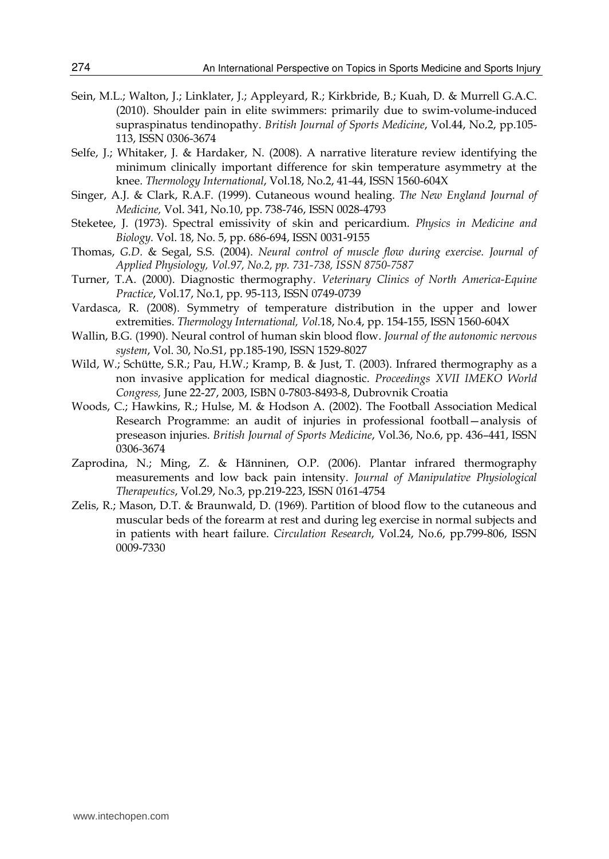- Sein, M.L.; Walton, J.; Linklater, J.; Appleyard, R.; Kirkbride, B.; Kuah, D. & Murrell G.A.C. (2010). Shoulder pain in elite swimmers: primarily due to swim-volume-induced supraspinatus tendinopathy. *British Journal of Sports Medicine*, Vol.44, No.2, pp.105- 113, ISSN 0306-3674
- Selfe, J.; Whitaker, J. & Hardaker, N. (2008). A narrative literature review identifying the minimum clinically important difference for skin temperature asymmetry at the knee. *Thermology International*, Vol.18, No.2, 41-44, ISSN 1560-604X
- Singer, A.J. & Clark, R.A.F. (1999). Cutaneous wound healing. *The New England Journal of Medicine,* Vol. 341, No.10, pp. 738-746, ISSN 0028-4793
- Steketee, J. (1973). Spectral emissivity of skin and pericardium. *Physics in Medicine and Biology.* Vol. 18, No. 5, pp. 686-694, ISSN 0031-9155
- Thomas, *G.D.* & Segal, S.S. (2004). *Neural control of muscle flow during exercise. Journal of Applied Physiology, Vol.97, No.2, pp. 731-738, ISSN 8750-7587*
- Turner, T.A. (2000). Diagnostic thermography. *Veterinary Clinics of North America-Equine Practice*, Vol.17, No.1, pp. 95-113, ISSN 0749-0739
- Vardasca, R. (2008). Symmetry of temperature distribution in the upper and lower extremities. *Thermology International, Vol.*18, No.4, pp. 154-155, ISSN 1560-604X
- Wallin, B.G. (1990). Neural control of human skin blood flow. *Journal of the autonomic nervous system*, Vol. 30, No.S1, pp.185-190, ISSN 1529-8027
- Wild, W.; Schütte, S.R.; Pau, H.W.; Kramp, B. & Just, T. (2003). Infrared thermography as a non invasive application for medical diagnostic. *Proceedings XVII IMEKO World Congress,* June 22-27, 2003, ISBN 0-7803-8493-8, Dubrovnik Croatia
- Woods, C.; Hawkins, R.; Hulse, M. & Hodson A. (2002). The Football Association Medical Research Programme: an audit of injuries in professional football—analysis of preseason injuries. *British Journal of Sports Medicine*, Vol.36, No.6, pp. 436–441, ISSN 0306-3674
- Zaprodina, N.; Ming, Z. & Hänninen, O.P. (2006). Plantar infrared thermography measurements and low back pain intensity. *Journal of Manipulative Physiological Therapeutics*, Vol.29, No.3, pp.219-223, ISSN 0161-4754
- Zelis, R.; Mason, D.T. & Braunwald, D. (1969). Partition of blood flow to the cutaneous and muscular beds of the forearm at rest and during leg exercise in normal subjects and in patients with heart failure. *Circulation Research*, Vol.24, No.6, pp.799-806, ISSN 0009-7330